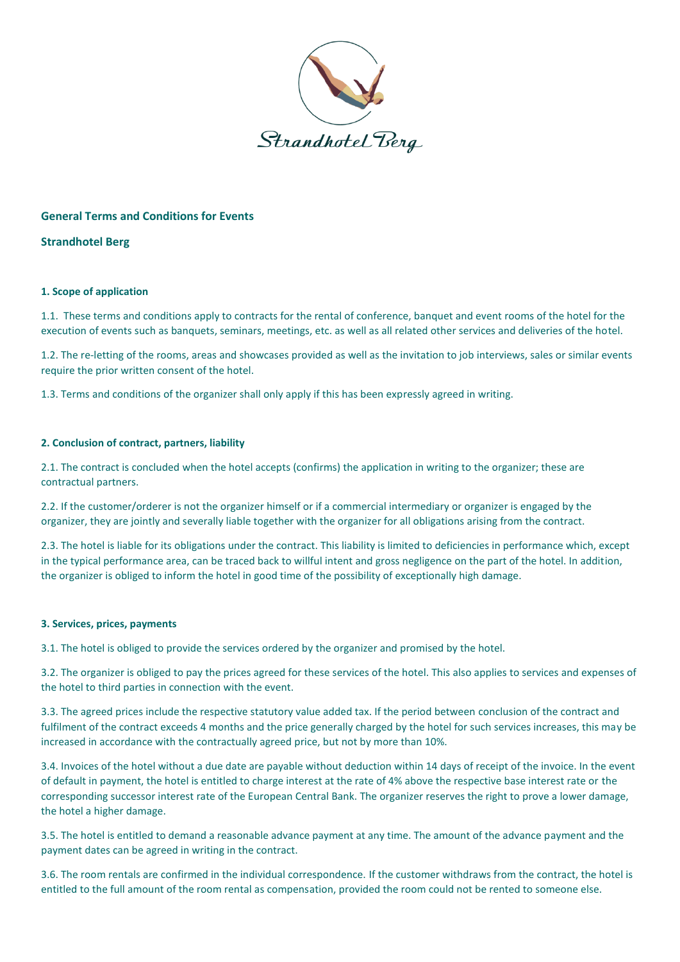

# **General Terms and Conditions for Events**

**Strandhotel Berg**

## **1. Scope of application**

1.1. These terms and conditions apply to contracts for the rental of conference, banquet and event rooms of the hotel for the execution of events such as banquets, seminars, meetings, etc. as well as all related other services and deliveries of the hotel.

1.2. The re-letting of the rooms, areas and showcases provided as well as the invitation to job interviews, sales or similar events require the prior written consent of the hotel.

1.3. Terms and conditions of the organizer shall only apply if this has been expressly agreed in writing.

# **2. Conclusion of contract, partners, liability**

2.1. The contract is concluded when the hotel accepts (confirms) the application in writing to the organizer; these are contractual partners.

2.2. If the customer/orderer is not the organizer himself or if a commercial intermediary or organizer is engaged by the organizer, they are jointly and severally liable together with the organizer for all obligations arising from the contract.

2.3. The hotel is liable for its obligations under the contract. This liability is limited to deficiencies in performance which, except in the typical performance area, can be traced back to willful intent and gross negligence on the part of the hotel. In addition, the organizer is obliged to inform the hotel in good time of the possibility of exceptionally high damage.

## **3. Services, prices, payments**

3.1. The hotel is obliged to provide the services ordered by the organizer and promised by the hotel.

3.2. The organizer is obliged to pay the prices agreed for these services of the hotel. This also applies to services and expenses of the hotel to third parties in connection with the event.

3.3. The agreed prices include the respective statutory value added tax. If the period between conclusion of the contract and fulfilment of the contract exceeds 4 months and the price generally charged by the hotel for such services increases, this may be increased in accordance with the contractually agreed price, but not by more than 10%.

3.4. Invoices of the hotel without a due date are payable without deduction within 14 days of receipt of the invoice. In the event of default in payment, the hotel is entitled to charge interest at the rate of 4% above the respective base interest rate or the corresponding successor interest rate of the European Central Bank. The organizer reserves the right to prove a lower damage, the hotel a higher damage.

3.5. The hotel is entitled to demand a reasonable advance payment at any time. The amount of the advance payment and the payment dates can be agreed in writing in the contract.

3.6. The room rentals are confirmed in the individual correspondence. If the customer withdraws from the contract, the hotel is entitled to the full amount of the room rental as compensation, provided the room could not be rented to someone else.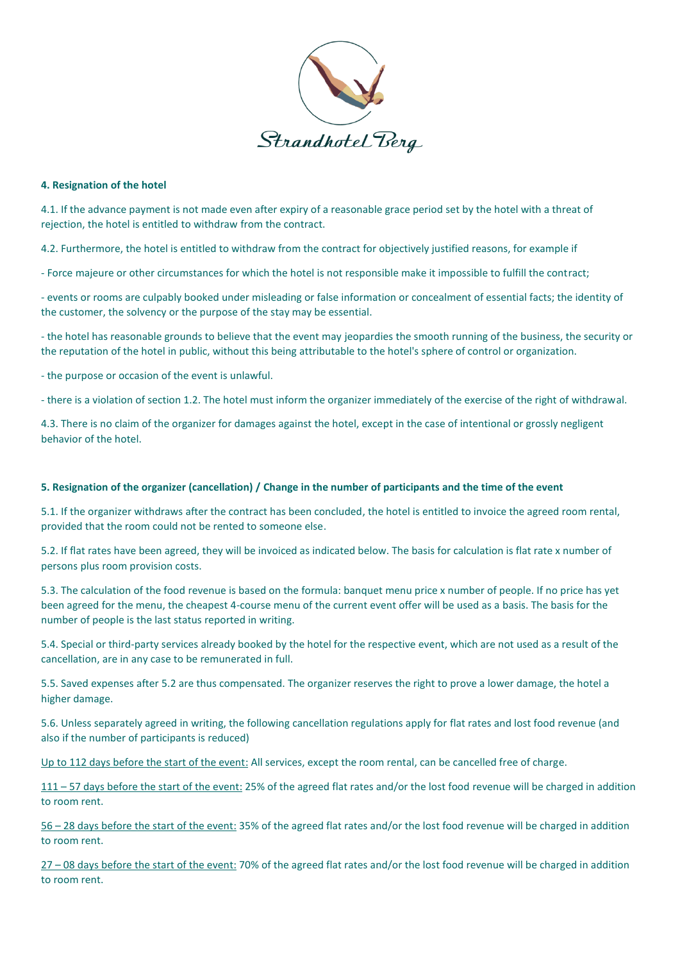

### **4. Resignation of the hotel**

4.1. If the advance payment is not made even after expiry of a reasonable grace period set by the hotel with a threat of rejection, the hotel is entitled to withdraw from the contract.

4.2. Furthermore, the hotel is entitled to withdraw from the contract for objectively justified reasons, for example if

- Force majeure or other circumstances for which the hotel is not responsible make it impossible to fulfill the contract;

- events or rooms are culpably booked under misleading or false information or concealment of essential facts; the identity of the customer, the solvency or the purpose of the stay may be essential.

- the hotel has reasonable grounds to believe that the event may jeopardies the smooth running of the business, the security or the reputation of the hotel in public, without this being attributable to the hotel's sphere of control or organization.

- the purpose or occasion of the event is unlawful.

- there is a violation of section 1.2. The hotel must inform the organizer immediately of the exercise of the right of withdrawal.

4.3. There is no claim of the organizer for damages against the hotel, except in the case of intentional or grossly negligent behavior of the hotel.

### **5. Resignation of the organizer (cancellation) / Change in the number of participants and the time of the event**

5.1. If the organizer withdraws after the contract has been concluded, the hotel is entitled to invoice the agreed room rental, provided that the room could not be rented to someone else.

5.2. If flat rates have been agreed, they will be invoiced as indicated below. The basis for calculation is flat rate x number of persons plus room provision costs.

5.3. The calculation of the food revenue is based on the formula: banquet menu price x number of people. If no price has yet been agreed for the menu, the cheapest 4-course menu of the current event offer will be used as a basis. The basis for the number of people is the last status reported in writing.

5.4. Special or third-party services already booked by the hotel for the respective event, which are not used as a result of the cancellation, are in any case to be remunerated in full.

5.5. Saved expenses after 5.2 are thus compensated. The organizer reserves the right to prove a lower damage, the hotel a higher damage.

5.6. Unless separately agreed in writing, the following cancellation regulations apply for flat rates and lost food revenue (and also if the number of participants is reduced)

Up to 112 days before the start of the event: All services, except the room rental, can be cancelled free of charge.

111 – 57 days before the start of the event: 25% of the agreed flat rates and/or the lost food revenue will be charged in addition to room rent.

56 – 28 days before the start of the event: 35% of the agreed flat rates and/or the lost food revenue will be charged in addition to room rent.

27 – 08 days before the start of the event: 70% of the agreed flat rates and/or the lost food revenue will be charged in addition to room rent.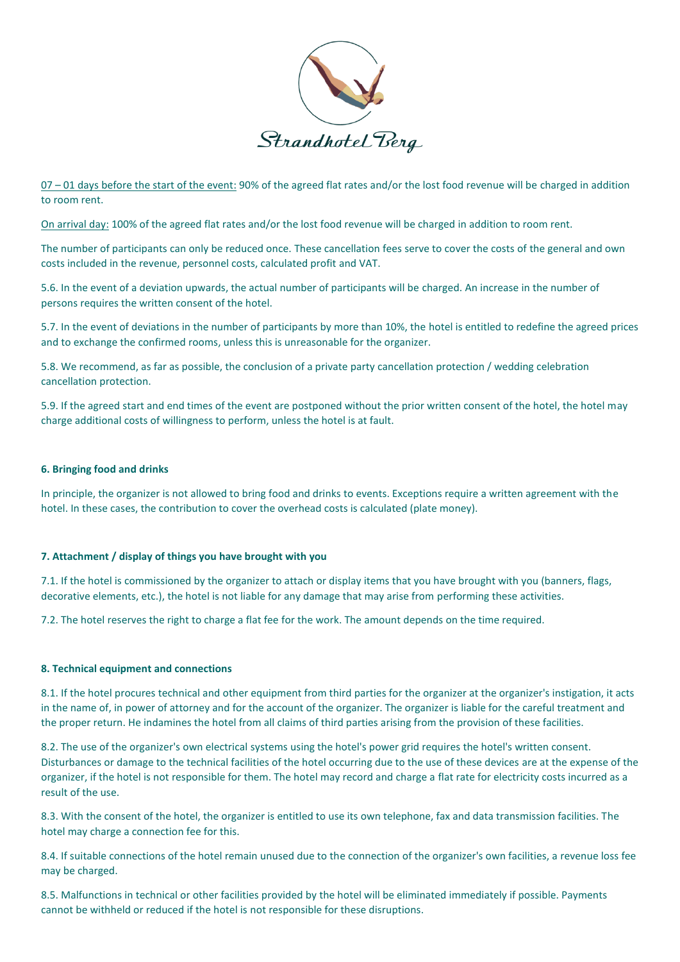

07 – 01 days before the start of the event: 90% of the agreed flat rates and/or the lost food revenue will be charged in addition to room rent.

On arrival day: 100% of the agreed flat rates and/or the lost food revenue will be charged in addition to room rent.

The number of participants can only be reduced once. These cancellation fees serve to cover the costs of the general and own costs included in the revenue, personnel costs, calculated profit and VAT.

5.6. In the event of a deviation upwards, the actual number of participants will be charged. An increase in the number of persons requires the written consent of the hotel.

5.7. In the event of deviations in the number of participants by more than 10%, the hotel is entitled to redefine the agreed prices and to exchange the confirmed rooms, unless this is unreasonable for the organizer.

5.8. We recommend, as far as possible, the conclusion of a private party cancellation protection / wedding celebration cancellation protection.

5.9. If the agreed start and end times of the event are postponed without the prior written consent of the hotel, the hotel may charge additional costs of willingness to perform, unless the hotel is at fault.

### **6. Bringing food and drinks**

In principle, the organizer is not allowed to bring food and drinks to events. Exceptions require a written agreement with the hotel. In these cases, the contribution to cover the overhead costs is calculated (plate money).

#### **7. Attachment / display of things you have brought with you**

7.1. If the hotel is commissioned by the organizer to attach or display items that you have brought with you (banners, flags, decorative elements, etc.), the hotel is not liable for any damage that may arise from performing these activities.

7.2. The hotel reserves the right to charge a flat fee for the work. The amount depends on the time required.

#### **8. Technical equipment and connections**

8.1. If the hotel procures technical and other equipment from third parties for the organizer at the organizer's instigation, it acts in the name of, in power of attorney and for the account of the organizer. The organizer is liable for the careful treatment and the proper return. He indamines the hotel from all claims of third parties arising from the provision of these facilities.

8.2. The use of the organizer's own electrical systems using the hotel's power grid requires the hotel's written consent. Disturbances or damage to the technical facilities of the hotel occurring due to the use of these devices are at the expense of the organizer, if the hotel is not responsible for them. The hotel may record and charge a flat rate for electricity costs incurred as a result of the use.

8.3. With the consent of the hotel, the organizer is entitled to use its own telephone, fax and data transmission facilities. The hotel may charge a connection fee for this.

8.4. If suitable connections of the hotel remain unused due to the connection of the organizer's own facilities, a revenue loss fee may be charged.

8.5. Malfunctions in technical or other facilities provided by the hotel will be eliminated immediately if possible. Payments cannot be withheld or reduced if the hotel is not responsible for these disruptions.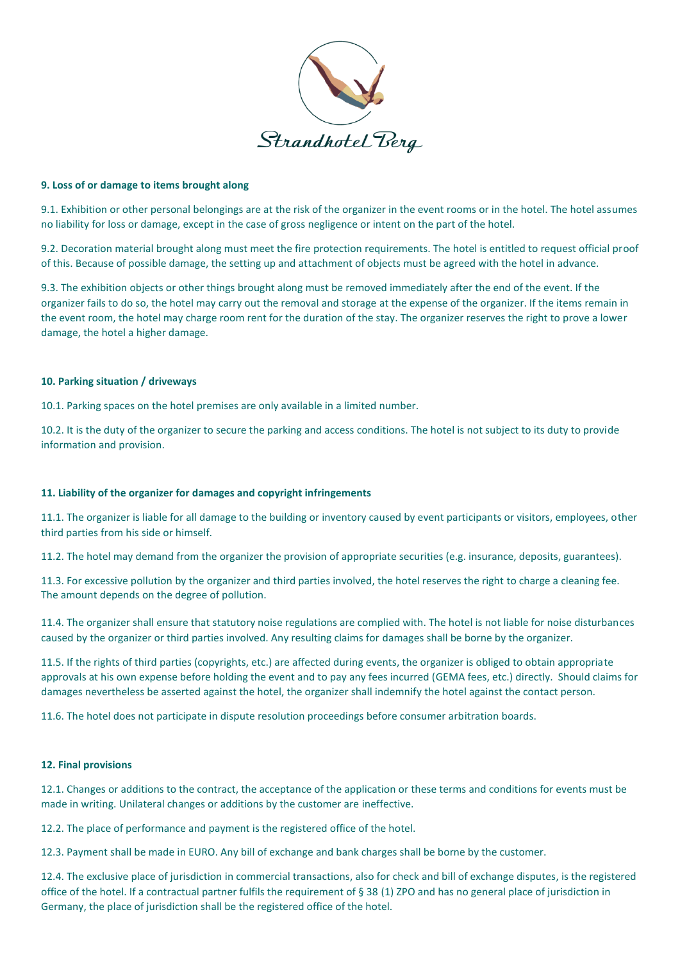

#### **9. Loss of or damage to items brought along**

9.1. Exhibition or other personal belongings are at the risk of the organizer in the event rooms or in the hotel. The hotel assumes no liability for loss or damage, except in the case of gross negligence or intent on the part of the hotel.

9.2. Decoration material brought along must meet the fire protection requirements. The hotel is entitled to request official proof of this. Because of possible damage, the setting up and attachment of objects must be agreed with the hotel in advance.

9.3. The exhibition objects or other things brought along must be removed immediately after the end of the event. If the organizer fails to do so, the hotel may carry out the removal and storage at the expense of the organizer. If the items remain in the event room, the hotel may charge room rent for the duration of the stay. The organizer reserves the right to prove a lower damage, the hotel a higher damage.

## **10. Parking situation / driveways**

10.1. Parking spaces on the hotel premises are only available in a limited number.

10.2. It is the duty of the organizer to secure the parking and access conditions. The hotel is not subject to its duty to provide information and provision.

## **11. Liability of the organizer for damages and copyright infringements**

11.1. The organizer is liable for all damage to the building or inventory caused by event participants or visitors, employees, other third parties from his side or himself.

11.2. The hotel may demand from the organizer the provision of appropriate securities (e.g. insurance, deposits, guarantees).

11.3. For excessive pollution by the organizer and third parties involved, the hotel reserves the right to charge a cleaning fee. The amount depends on the degree of pollution.

11.4. The organizer shall ensure that statutory noise regulations are complied with. The hotel is not liable for noise disturbances caused by the organizer or third parties involved. Any resulting claims for damages shall be borne by the organizer.

11.5. If the rights of third parties (copyrights, etc.) are affected during events, the organizer is obliged to obtain appropriate approvals at his own expense before holding the event and to pay any fees incurred (GEMA fees, etc.) directly. Should claims for damages nevertheless be asserted against the hotel, the organizer shall indemnify the hotel against the contact person.

11.6. The hotel does not participate in dispute resolution proceedings before consumer arbitration boards.

#### **12. Final provisions**

12.1. Changes or additions to the contract, the acceptance of the application or these terms and conditions for events must be made in writing. Unilateral changes or additions by the customer are ineffective.

12.2. The place of performance and payment is the registered office of the hotel.

12.3. Payment shall be made in EURO. Any bill of exchange and bank charges shall be borne by the customer.

12.4. The exclusive place of jurisdiction in commercial transactions, also for check and bill of exchange disputes, is the registered office of the hotel. If a contractual partner fulfils the requirement of § 38 (1) ZPO and has no general place of jurisdiction in Germany, the place of jurisdiction shall be the registered office of the hotel.